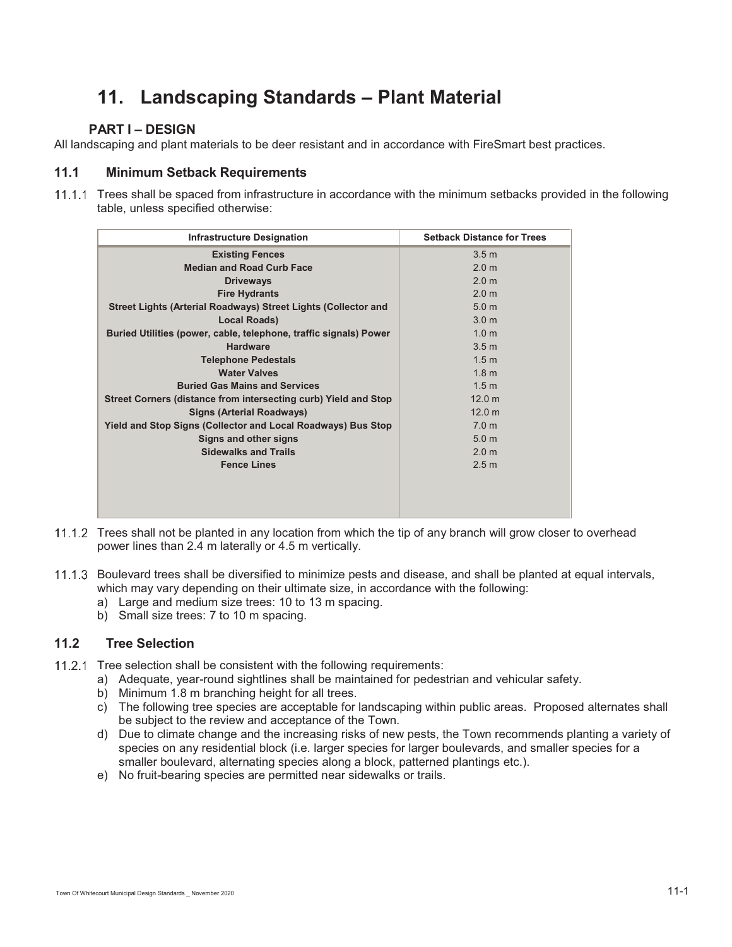# **11. Landscaping Standards – Plant Material**

# **PART I – DESIGN**

All landscaping and plant materials to be deer resistant and in accordance with FireSmart best practices.

# **11.1 Minimum Setback Requirements**

 Trees shall be spaced from infrastructure in accordance with the minimum setbacks provided in the following table, unless specified otherwise:

| <b>Infrastructure Designation</b>                                 | <b>Setback Distance for Trees</b> |
|-------------------------------------------------------------------|-----------------------------------|
| <b>Existing Fences</b>                                            | 3.5 <sub>m</sub>                  |
| <b>Median and Road Curb Face</b>                                  | 2.0 <sub>m</sub>                  |
| <b>Driveways</b>                                                  | 2.0 <sub>m</sub>                  |
| <b>Fire Hydrants</b>                                              | 2.0 <sub>m</sub>                  |
| Street Lights (Arterial Roadways) Street Lights (Collector and    | 5.0 <sub>m</sub>                  |
| <b>Local Roads)</b>                                               | 3.0 <sub>m</sub>                  |
| Buried Utilities (power, cable, telephone, traffic signals) Power | 1.0 <sub>m</sub>                  |
| <b>Hardware</b>                                                   | 3.5 <sub>m</sub>                  |
| <b>Telephone Pedestals</b>                                        | 1.5 <sub>m</sub>                  |
| <b>Water Valves</b>                                               | 1.8 <sub>m</sub>                  |
| <b>Buried Gas Mains and Services</b>                              | 1.5 <sub>m</sub>                  |
| Street Corners (distance from intersecting curb) Yield and Stop   | 12.0 <sub>m</sub>                 |
| <b>Signs (Arterial Roadways)</b>                                  | 12.0 m                            |
| Yield and Stop Signs (Collector and Local Roadways) Bus Stop      | 7.0 <sub>m</sub>                  |
| Signs and other signs                                             | 5.0 <sub>m</sub>                  |
| <b>Sidewalks and Trails</b>                                       | 2.0 <sub>m</sub>                  |
| <b>Fence Lines</b>                                                | 2.5 <sub>m</sub>                  |
|                                                                   |                                   |
|                                                                   |                                   |
|                                                                   |                                   |

- 11.1.2 Trees shall not be planted in any location from which the tip of any branch will grow closer to overhead power lines than 2.4 m laterally or 4.5 m vertically.
- 11.1.3 Boulevard trees shall be diversified to minimize pests and disease, and shall be planted at equal intervals, which may vary depending on their ultimate size, in accordance with the following:
	- a) Large and medium size trees: 10 to 13 m spacing.
	- b) Small size trees: 7 to 10 m spacing.

# **11.2 Tree Selection**

- 11.2.1 Tree selection shall be consistent with the following requirements:
	- a) Adequate, year-round sightlines shall be maintained for pedestrian and vehicular safety.
	- b) Minimum 1.8 m branching height for all trees.
	- c) The following tree species are acceptable for landscaping within public areas. Proposed alternates shall be subject to the review and acceptance of the Town.
	- d) Due to climate change and the increasing risks of new pests, the Town recommends planting a variety of species on any residential block (i.e. larger species for larger boulevards, and smaller species for a smaller boulevard, alternating species along a block, patterned plantings etc.).
	- e) No fruit-bearing species are permitted near sidewalks or trails.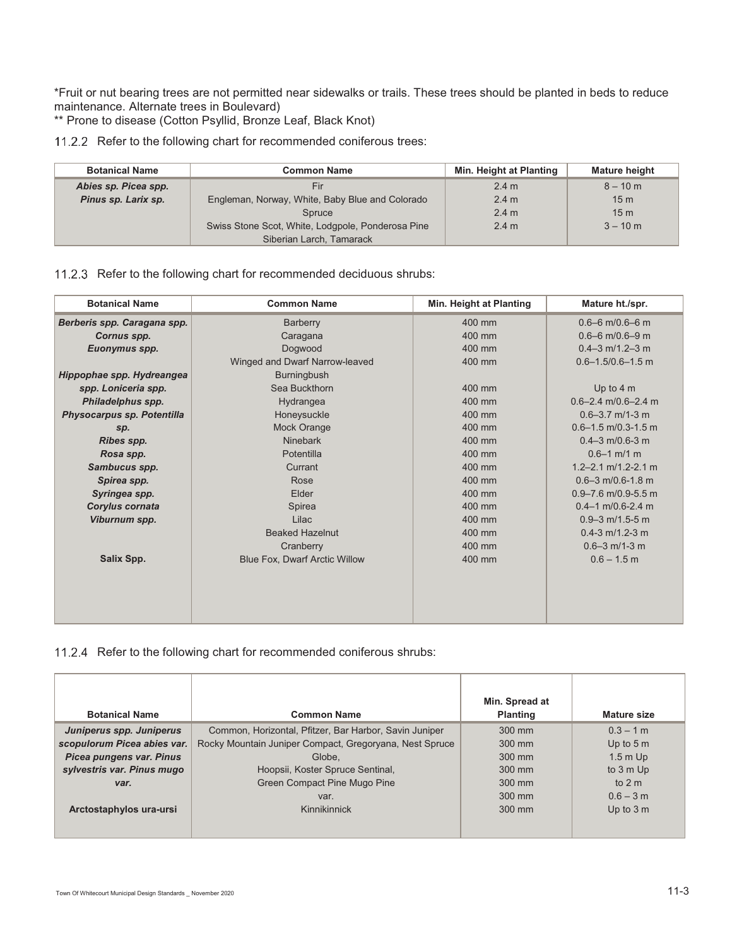\*Fruit or nut bearing trees are not permitted near sidewalks or trails. These trees should be planted in beds to reduce maintenance. Alternate trees in Boulevard)

\*\* Prone to disease (Cotton Psyllid, Bronze Leaf, Black Knot)

11.2.2 Refer to the following chart for recommended coniferous trees:

| <b>Botanical Name</b><br><b>Common Name</b> |                                                   | Min. Height at Planting | <b>Mature height</b> |
|---------------------------------------------|---------------------------------------------------|-------------------------|----------------------|
| Abies sp. Picea spp.                        | Fir                                               | $2.4 \text{ m}$         | $8 - 10$ m           |
| Pinus sp. Larix sp.                         | Engleman, Norway, White, Baby Blue and Colorado   | 2.4 m                   | 15 <sub>m</sub>      |
|                                             | Spruce                                            | 2.4 <sub>m</sub>        | 15 <sub>m</sub>      |
|                                             | Swiss Stone Scot, White, Lodgpole, Ponderosa Pine | $2.4 \text{ m}$         | $3 - 10$ m           |
|                                             | Siberian Larch, Tamarack                          |                         |                      |

#### 11.2.3 Refer to the following chart for recommended deciduous shrubs:

| <b>Botanical Name</b>                   | <b>Common Name</b>                   | Min. Height at Planting | Mature ht./spr.         |
|-----------------------------------------|--------------------------------------|-------------------------|-------------------------|
| Berberis spp. Caragana spp.<br>Barberry |                                      | 400 mm                  | $0.6 - 6$ m/0.6-6 m     |
| Cornus spp.                             | Caragana                             | 400 mm                  | $0.6 - 6$ m/0.6-9 m     |
| Euonymus spp.                           | Dogwood                              | 400 mm                  | $0.4 - 3$ m/1.2-3 m     |
|                                         | Winged and Dwarf Narrow-leaved       | 400 mm                  | $0.6 - 1.5/0.6 - 1.5$ m |
| Hippophae spp. Hydreangea               | <b>Burningbush</b>                   |                         |                         |
| spp. Loniceria spp.                     | Sea Buckthorn                        | 400 mm                  | Up to $4m$              |
| Philadelphus spp.                       | Hydrangea                            | $400 \text{ mm}$        | $0.6 - 2.4$ m/0.6-2.4 m |
| Physocarpus sp. Potentilla              | Honeysuckle                          | $400 \text{ mm}$        | $0.6 - 3.7$ m/1-3 m     |
| Sp.                                     | Mock Orange                          | 400 mm                  | $0.6 - 1.5$ m/0.3-1.5 m |
| Ribes spp.                              | <b>Ninebark</b>                      | 400 mm                  | $0.4 - 3$ m/0.6-3 m     |
| Rosa spp.                               | Potentilla                           | 400 mm                  | $0.6 - 1$ m/1 m         |
| Sambucus spp.                           | Currant                              | 400 mm                  | $1.2 - 2.1$ m/1.2-2.1 m |
| Spirea spp.                             | Rose                                 | 400 mm                  | $0.6 - 3$ m/0.6-1.8 m   |
| Syringea spp.                           | Elder                                | 400 mm                  | $0.9 - 7.6$ m/0.9-5.5 m |
| Corylus cornata                         | Spirea                               | 400 mm                  | $0.4 - 1$ m/0.6-2.4 m   |
| Viburnum spp.                           | Lilac                                | 400 mm                  | $0.9 - 3$ m/1.5-5 m     |
|                                         | <b>Beaked Hazelnut</b>               | 400 mm                  | $0.4 - 3$ m/1.2-3 m     |
|                                         | Cranberry                            | 400 mm                  | $0.6 - 3$ m/1-3 m       |
| Salix Spp.                              | <b>Blue Fox, Dwarf Arctic Willow</b> | 400 mm                  | $0.6 - 1.5$ m           |
|                                         |                                      |                         |                         |
|                                         |                                      |                         |                         |
|                                         |                                      |                         |                         |
|                                         |                                      |                         |                         |

11.2.4 Refer to the following chart for recommended coniferous shrubs:

| <b>Botanical Name</b>       | <b>Common Name</b>                                      | Min. Spread at<br><b>Planting</b> | <b>Mature size</b> |
|-----------------------------|---------------------------------------------------------|-----------------------------------|--------------------|
| Juniperus spp. Juniperus    | Common, Horizontal, Pfitzer, Bar Harbor, Savin Juniper  | 300 mm                            | $0.3 - 1$ m        |
| scopulorum Picea abies var. | Rocky Mountain Juniper Compact, Gregoryana, Nest Spruce | 300 mm                            | Up to $5m$         |
| Picea pungens var. Pinus    | Globe.                                                  | 300 mm                            | $1.5m$ Up          |
| sylvestris var. Pinus mugo  | Hoopsii, Koster Spruce Sentinal,                        |                                   | to 3 m Up          |
| var.                        | Green Compact Pine Mugo Pine                            | 300 mm                            | to $2m$            |
|                             | var.                                                    | $300 \text{ mm}$                  | $0.6 - 3 m$        |
| Arctostaphylos ura-ursi     | Kinnikinnick                                            | 300 mm                            | Up to $3m$         |
|                             |                                                         |                                   |                    |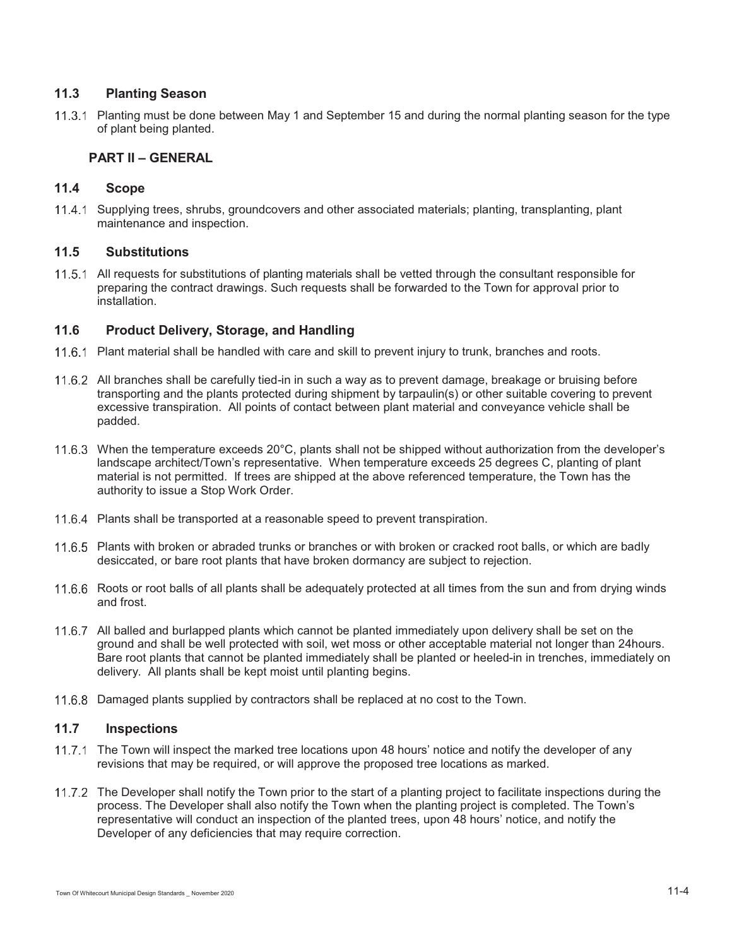# **11.3 Planting Season**

11.3.1 Planting must be done between May 1 and September 15 and during the normal planting season for the type of plant being planted.

#### **PART II – GENERAL**

## **11.4 Scope**

11.4.1 Supplying trees, shrubs, groundcovers and other associated materials; planting, transplanting, plant maintenance and inspection.

## **11.5 Substitutions**

11.5.1 All requests for substitutions of planting materials shall be vetted through the consultant responsible for preparing the contract drawings. Such requests shall be forwarded to the Town for approval prior to installation.

## **11.6 Product Delivery, Storage, and Handling**

- 11.6.1 Plant material shall be handled with care and skill to prevent injury to trunk, branches and roots.
- 11.6.2 All branches shall be carefully tied-in in such a way as to prevent damage, breakage or bruising before transporting and the plants protected during shipment by tarpaulin(s) or other suitable covering to prevent excessive transpiration. All points of contact between plant material and conveyance vehicle shall be padded.
- 11.6.3 When the temperature exceeds 20°C, plants shall not be shipped without authorization from the developer's landscape architect/Town's representative. When temperature exceeds 25 degrees C, planting of plant material is not permitted. If trees are shipped at the above referenced temperature, the Town has the authority to issue a Stop Work Order.
- 11.6.4 Plants shall be transported at a reasonable speed to prevent transpiration.
- 11.6.5 Plants with broken or abraded trunks or branches or with broken or cracked root balls, or which are badly desiccated, or bare root plants that have broken dormancy are subject to rejection.
- 11.6.6 Roots or root balls of all plants shall be adequately protected at all times from the sun and from drying winds and frost.
- 11.6.7 All balled and burlapped plants which cannot be planted immediately upon delivery shall be set on the ground and shall be well protected with soil, wet moss or other acceptable material not longer than 24hours. Bare root plants that cannot be planted immediately shall be planted or heeled-in in trenches, immediately on delivery. All plants shall be kept moist until planting begins.
- 11.6.8 Damaged plants supplied by contractors shall be replaced at no cost to the Town.

#### **11.7 Inspections**

- 11.7.1 The Town will inspect the marked tree locations upon 48 hours' notice and notify the developer of any revisions that may be required, or will approve the proposed tree locations as marked.
- The Developer shall notify the Town prior to the start of a planting project to facilitate inspections during the process. The Developer shall also notify the Town when the planting project is completed. The Town's representative will conduct an inspection of the planted trees, upon 48 hours' notice, and notify the Developer of any deficiencies that may require correction.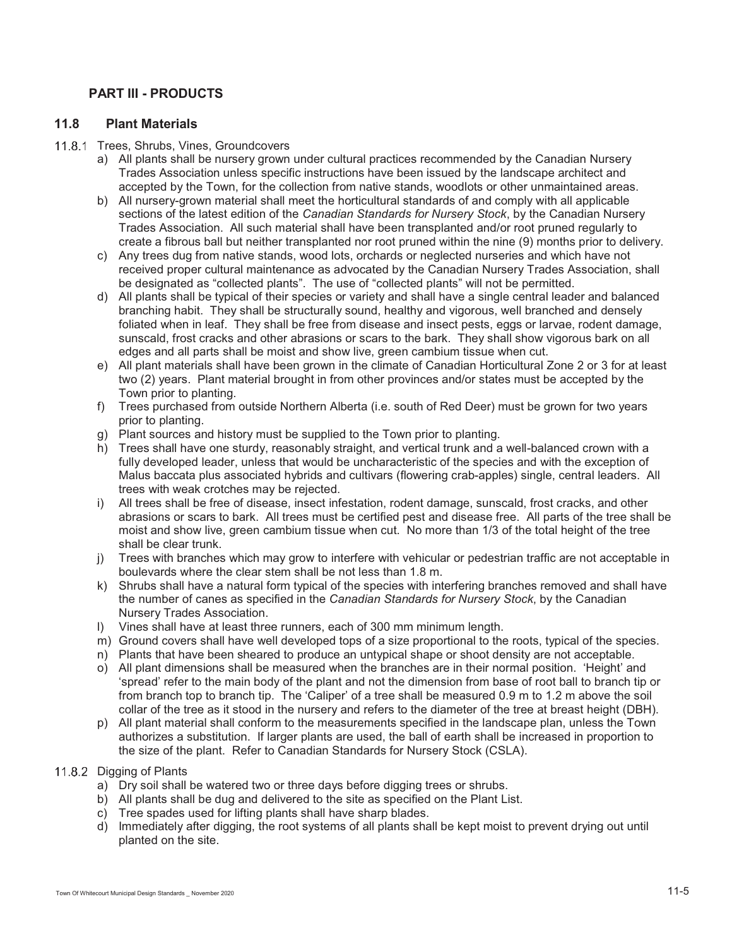# **PART III - PRODUCTS**

## **11.8 Plant Materials**

#### 11.8.1 Trees, Shrubs, Vines, Groundcovers

- a) All plants shall be nursery grown under cultural practices recommended by the Canadian Nursery Trades Association unless specific instructions have been issued by the landscape architect and accepted by the Town, for the collection from native stands, woodlots or other unmaintained areas.
- b) All nursery-grown material shall meet the horticultural standards of and comply with all applicable sections of the latest edition of the *Canadian Standards for Nursery Stock*, by the Canadian Nursery Trades Association. All such material shall have been transplanted and/or root pruned regularly to create a fibrous ball but neither transplanted nor root pruned within the nine (9) months prior to delivery.
- c) Any trees dug from native stands, wood lots, orchards or neglected nurseries and which have not received proper cultural maintenance as advocated by the Canadian Nursery Trades Association, shall be designated as "collected plants". The use of "collected plants" will not be permitted.
- d) All plants shall be typical of their species or variety and shall have a single central leader and balanced branching habit. They shall be structurally sound, healthy and vigorous, well branched and densely foliated when in leaf. They shall be free from disease and insect pests, eggs or larvae, rodent damage, sunscald, frost cracks and other abrasions or scars to the bark. They shall show vigorous bark on all edges and all parts shall be moist and show live, green cambium tissue when cut.
- e) All plant materials shall have been grown in the climate of Canadian Horticultural Zone 2 or 3 for at least two (2) years. Plant material brought in from other provinces and/or states must be accepted by the Town prior to planting.
- f) Trees purchased from outside Northern Alberta (i.e. south of Red Deer) must be grown for two years prior to planting.
- g) Plant sources and history must be supplied to the Town prior to planting.
- h) Trees shall have one sturdy, reasonably straight, and vertical trunk and a well-balanced crown with a fully developed leader, unless that would be uncharacteristic of the species and with the exception of Malus baccata plus associated hybrids and cultivars (flowering crab-apples) single, central leaders. All trees with weak crotches may be rejected.
- i) All trees shall be free of disease, insect infestation, rodent damage, sunscald, frost cracks, and other abrasions or scars to bark. All trees must be certified pest and disease free. All parts of the tree shall be moist and show live, green cambium tissue when cut. No more than 1/3 of the total height of the tree shall be clear trunk.
- j) Trees with branches which may grow to interfere with vehicular or pedestrian traffic are not acceptable in boulevards where the clear stem shall be not less than 1.8 m.
- k) Shrubs shall have a natural form typical of the species with interfering branches removed and shall have the number of canes as specified in the *Canadian Standards for Nursery Stock*, by the Canadian Nursery Trades Association.
- l) Vines shall have at least three runners, each of 300 mm minimum length.
- m) Ground covers shall have well developed tops of a size proportional to the roots, typical of the species.
- n) Plants that have been sheared to produce an untypical shape or shoot density are not acceptable.
- o) All plant dimensions shall be measured when the branches are in their normal position. 'Height' and 'spread' refer to the main body of the plant and not the dimension from base of root ball to branch tip or from branch top to branch tip. The 'Caliper' of a tree shall be measured 0.9 m to 1.2 m above the soil collar of the tree as it stood in the nursery and refers to the diameter of the tree at breast height (DBH).
- p) All plant material shall conform to the measurements specified in the landscape plan, unless the Town authorizes a substitution. If larger plants are used, the ball of earth shall be increased in proportion to the size of the plant. Refer to Canadian Standards for Nursery Stock (CSLA).

## 11.8.2 Digging of Plants

- a) Dry soil shall be watered two or three days before digging trees or shrubs.
- b) All plants shall be dug and delivered to the site as specified on the Plant List.
- c) Tree spades used for lifting plants shall have sharp blades.
- d) Immediately after digging, the root systems of all plants shall be kept moist to prevent drying out until planted on the site.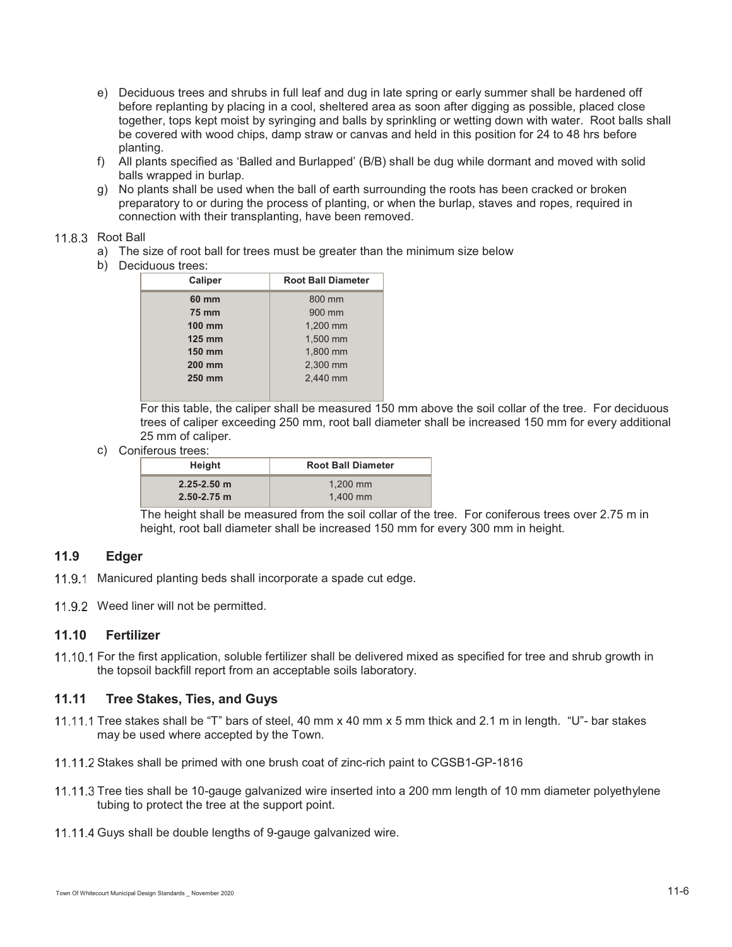- e) Deciduous trees and shrubs in full leaf and dug in late spring or early summer shall be hardened off before replanting by placing in a cool, sheltered area as soon after digging as possible, placed close together, tops kept moist by syringing and balls by sprinkling or wetting down with water. Root balls shall be covered with wood chips, damp straw or canvas and held in this position for 24 to 48 hrs before planting.
- f) All plants specified as 'Balled and Burlapped' (B/B) shall be dug while dormant and moved with solid balls wrapped in burlap.
- g) No plants shall be used when the ball of earth surrounding the roots has been cracked or broken preparatory to or during the process of planting, or when the burlap, staves and ropes, required in connection with their transplanting, have been removed.

#### 11.8.3 Root Ball

- a) The size of root ball for trees must be greater than the minimum size below
- b) Deciduous trees:

| Caliper       | <b>Root Ball Diameter</b> |  |
|---------------|---------------------------|--|
| 60 mm         | 800 mm                    |  |
| <b>75 mm</b>  | 900 mm                    |  |
| <b>100 mm</b> | 1,200 mm                  |  |
| <b>125 mm</b> | 1,500 mm                  |  |
| 150 mm        | 1,800 mm                  |  |
| <b>200 mm</b> | 2,300 mm                  |  |
| 250 mm        | 2,440 mm                  |  |
|               |                           |  |

For this table, the caliper shall be measured 150 mm above the soil collar of the tree. For deciduous trees of caliper exceeding 250 mm, root ball diameter shall be increased 150 mm for every additional 25 mm of caliper.

c) Coniferous trees:

| Height          | <b>Root Ball Diameter</b> |
|-----------------|---------------------------|
| $2.25 - 2.50$ m | $1.200$ mm                |
| $2.50 - 2.75$ m | $1.400$ mm                |

The height shall be measured from the soil collar of the tree. For coniferous trees over 2.75 m in height, root ball diameter shall be increased 150 mm for every 300 mm in height.

## **11.9 Edger**

- 11.9.1 Manicured planting beds shall incorporate a spade cut edge.
- 11.9.2 Weed liner will not be permitted.

## **11.10 Fertilizer**

11.10.1 For the first application, soluble fertilizer shall be delivered mixed as specified for tree and shrub growth in the topsoil backfill report from an acceptable soils laboratory.

# **11.11 Tree Stakes, Ties, and Guys**

- 11.11.1 Tree stakes shall be "T" bars of steel, 40 mm x 40 mm x 5 mm thick and 2.1 m in length. "U"- bar stakes may be used where accepted by the Town.
- 11.11.2 Stakes shall be primed with one brush coat of zinc-rich paint to CGSB1-GP-1816
- 11.11.3 Tree ties shall be 10-gauge galvanized wire inserted into a 200 mm length of 10 mm diameter polyethylene tubing to protect the tree at the support point.
- 11.11.4 Guys shall be double lengths of 9-gauge galvanized wire.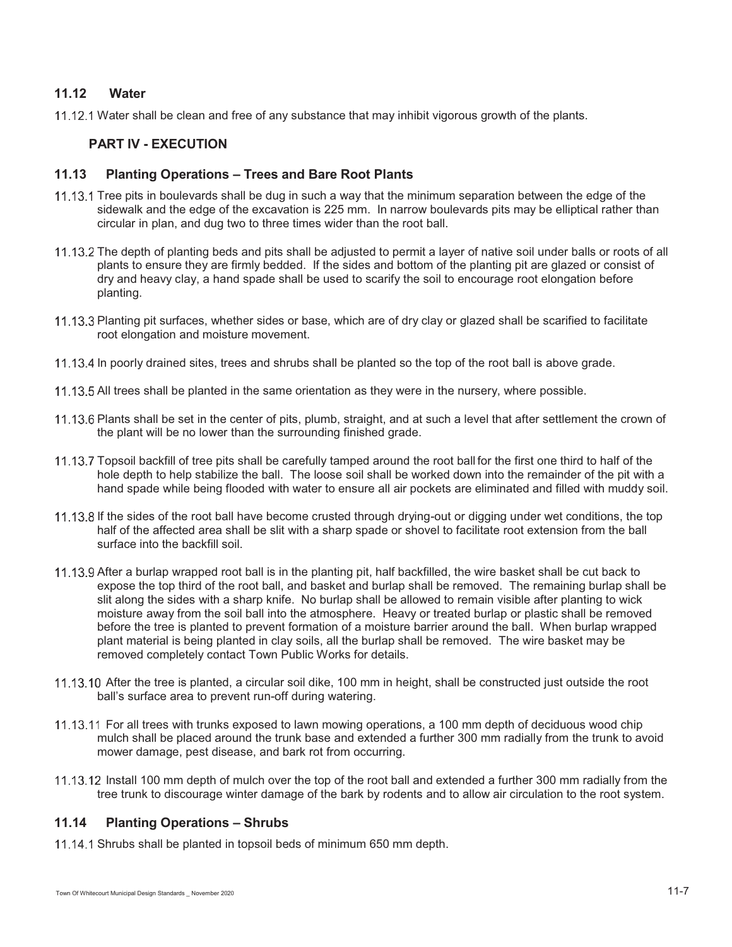## **11.12 Water**

11.12.1 Water shall be clean and free of any substance that may inhibit vigorous growth of the plants.

#### **PART IV - EXECUTION**

## **11.13 Planting Operations – Trees and Bare Root Plants**

- 11.13.1 Tree pits in boulevards shall be dug in such a way that the minimum separation between the edge of the sidewalk and the edge of the excavation is 225 mm. In narrow boulevards pits may be elliptical rather than circular in plan, and dug two to three times wider than the root ball.
- The depth of planting beds and pits shall be adjusted to permit a layer of native soil under balls or roots of all plants to ensure they are firmly bedded. If the sides and bottom of the planting pit are glazed or consist of dry and heavy clay, a hand spade shall be used to scarify the soil to encourage root elongation before planting.
- 11.13.3 Planting pit surfaces, whether sides or base, which are of dry clay or glazed shall be scarified to facilitate root elongation and moisture movement.
- 11.13.4 In poorly drained sites, trees and shrubs shall be planted so the top of the root ball is above grade.
- 11.13.5 All trees shall be planted in the same orientation as they were in the nursery, where possible.
- 11.13.6 Plants shall be set in the center of pits, plumb, straight, and at such a level that after settlement the crown of the plant will be no lower than the surrounding finished grade.
- Topsoil backfill of tree pits shall be carefully tamped around the root ball for the first one third to half of the hole depth to help stabilize the ball. The loose soil shall be worked down into the remainder of the pit with a hand spade while being flooded with water to ensure all air pockets are eliminated and filled with muddy soil.
- 11.13.8 If the sides of the root ball have become crusted through drying-out or digging under wet conditions, the top half of the affected area shall be slit with a sharp spade or shovel to facilitate root extension from the ball surface into the backfill soil.
- 11.13.9 After a burlap wrapped root ball is in the planting pit, half backfilled, the wire basket shall be cut back to expose the top third of the root ball, and basket and burlap shall be removed. The remaining burlap shall be slit along the sides with a sharp knife. No burlap shall be allowed to remain visible after planting to wick moisture away from the soil ball into the atmosphere. Heavy or treated burlap or plastic shall be removed before the tree is planted to prevent formation of a moisture barrier around the ball. When burlap wrapped plant material is being planted in clay soils, all the burlap shall be removed. The wire basket may be removed completely contact Town Public Works for details.
- 11.13.10 After the tree is planted, a circular soil dike, 100 mm in height, shall be constructed just outside the root ball's surface area to prevent run-off during watering.
- 11.13.11 For all trees with trunks exposed to lawn mowing operations, a 100 mm depth of deciduous wood chip mulch shall be placed around the trunk base and extended a further 300 mm radially from the trunk to avoid mower damage, pest disease, and bark rot from occurring.
- 11.13.12 Install 100 mm depth of mulch over the top of the root ball and extended a further 300 mm radially from the tree trunk to discourage winter damage of the bark by rodents and to allow air circulation to the root system.

#### **11.14 Planting Operations – Shrubs**

11.14.1 Shrubs shall be planted in topsoil beds of minimum 650 mm depth.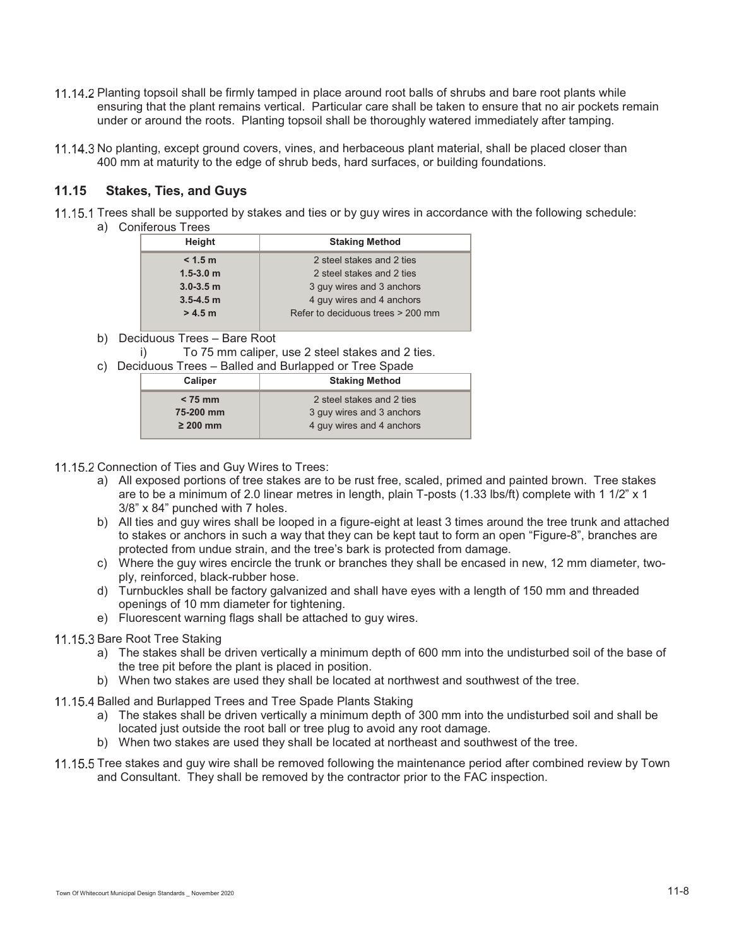- 11.14.2 Planting topsoil shall be firmly tamped in place around root balls of shrubs and bare root plants while ensuring that the plant remains vertical. Particular care shall be taken to ensure that no air pockets remain under or around the roots. Planting topsoil shall be thoroughly watered immediately after tamping.
- 11.14.3 No planting, except ground covers, vines, and herbaceous plant material, shall be placed closer than 400 mm at maturity to the edge of shrub beds, hard surfaces, or building foundations.

## **11.15 Stakes, Ties, and Guys**

- 11.15.1 Trees shall be supported by stakes and ties or by guy wires in accordance with the following schedule:
	- a) Coniferous Trees

| Height        | <b>Staking Method</b>             |
|---------------|-----------------------------------|
| < 1.5 m       | 2 steel stakes and 2 ties         |
| $1.5 - 3.0$ m | 2 steel stakes and 2 ties         |
| $3.0 - 3.5$ m | 3 guy wires and 3 anchors         |
| $3.5 - 4.5$ m | 4 guy wires and 4 anchors         |
| > 4.5 m       | Refer to deciduous trees > 200 mm |
|               |                                   |

- b) Deciduous Trees Bare Root
- i) To 75 mm caliper, use 2 steel stakes and 2 ties.

| c) Deciduous Trees - Balled and Burlapped or Tree Spade |               |                           |
|---------------------------------------------------------|---------------|---------------------------|
|                                                         | Caliper       | <b>Staking Method</b>     |
|                                                         | $< 75$ mm     | 2 steel stakes and 2 ties |
|                                                         | 75-200 mm     | 3 guy wires and 3 anchors |
|                                                         | $\geq 200$ mm | 4 guy wires and 4 anchors |

- 11.15.2 Connection of Ties and Guy Wires to Trees:
	- a) All exposed portions of tree stakes are to be rust free, scaled, primed and painted brown. Tree stakes are to be a minimum of 2.0 linear metres in length, plain T-posts (1.33 lbs/ft) complete with 1 1/2" x 1 3/8" x 84" punched with 7 holes.
	- b) All ties and guy wires shall be looped in a figure-eight at least 3 times around the tree trunk and attached to stakes or anchors in such a way that they can be kept taut to form an open "Figure-8", branches are protected from undue strain, and the tree's bark is protected from damage.
	- c) Where the guy wires encircle the trunk or branches they shall be encased in new, 12 mm diameter, twoply, reinforced, black-rubber hose.
	- d) Turnbuckles shall be factory galvanized and shall have eyes with a length of 150 mm and threaded openings of 10 mm diameter for tightening.
	- e) Fluorescent warning flags shall be attached to guy wires.

#### 11.15.3 Bare Root Tree Staking

- a) The stakes shall be driven vertically a minimum depth of 600 mm into the undisturbed soil of the base of the tree pit before the plant is placed in position.
- b) When two stakes are used they shall be located at northwest and southwest of the tree.
- 11.15.4 Balled and Burlapped Trees and Tree Spade Plants Staking
	- a) The stakes shall be driven vertically a minimum depth of 300 mm into the undisturbed soil and shall be located just outside the root ball or tree plug to avoid any root damage.
	- b) When two stakes are used they shall be located at northeast and southwest of the tree.
- 11.15.5 Tree stakes and guy wire shall be removed following the maintenance period after combined review by Town and Consultant. They shall be removed by the contractor prior to the FAC inspection.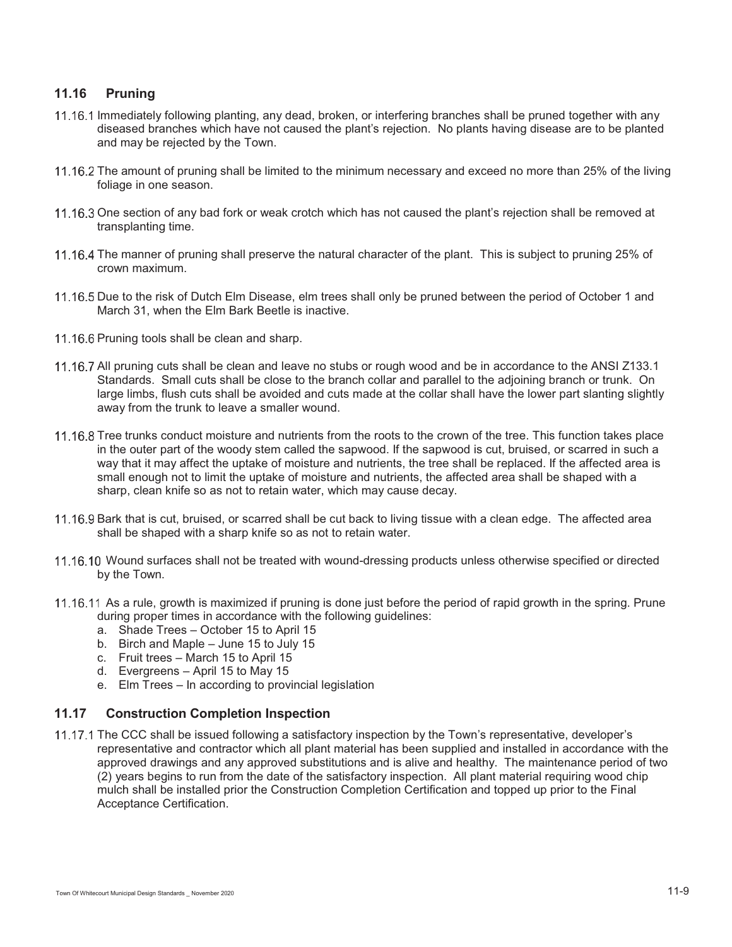# **11.16 Pruning**

- 11.16.1 Immediately following planting, any dead, broken, or interfering branches shall be pruned together with any diseased branches which have not caused the plant's rejection. No plants having disease are to be planted and may be rejected by the Town.
- 11.16.2 The amount of pruning shall be limited to the minimum necessary and exceed no more than 25% of the living foliage in one season.
- 11.16.3 One section of any bad fork or weak crotch which has not caused the plant's rejection shall be removed at transplanting time.
- 11.16.4 The manner of pruning shall preserve the natural character of the plant. This is subject to pruning 25% of crown maximum.
- 11.16.5 Due to the risk of Dutch Elm Disease, elm trees shall only be pruned between the period of October 1 and March 31, when the Elm Bark Beetle is inactive.
- 11.16.6 Pruning tools shall be clean and sharp.
- 11.16.7 All pruning cuts shall be clean and leave no stubs or rough wood and be in accordance to the ANSI Z133.1 Standards. Small cuts shall be close to the branch collar and parallel to the adjoining branch or trunk. On large limbs, flush cuts shall be avoided and cuts made at the collar shall have the lower part slanting slightly away from the trunk to leave a smaller wound.
- 11.16.8 Tree trunks conduct moisture and nutrients from the roots to the crown of the tree. This function takes place in the outer part of the woody stem called the sapwood. If the sapwood is cut, bruised, or scarred in such a way that it may affect the uptake of moisture and nutrients, the tree shall be replaced. If the affected area is small enough not to limit the uptake of moisture and nutrients, the affected area shall be shaped with a sharp, clean knife so as not to retain water, which may cause decay.
- 11.16.9 Bark that is cut, bruised, or scarred shall be cut back to living tissue with a clean edge. The affected area shall be shaped with a sharp knife so as not to retain water.
- 11.16.10 Wound surfaces shall not be treated with wound-dressing products unless otherwise specified or directed by the Town.
- 11.16.11 As a rule, growth is maximized if pruning is done just before the period of rapid growth in the spring. Prune during proper times in accordance with the following guidelines:
	- a. Shade Trees October 15 to April 15
	- b. Birch and Maple June 15 to July 15
	- c. Fruit trees March 15 to April 15
	- d. Evergreens April 15 to May 15
	- e. Elm Trees In according to provincial legislation

#### **11.17 Construction Completion Inspection**

11.17.1 The CCC shall be issued following a satisfactory inspection by the Town's representative, developer's representative and contractor which all plant material has been supplied and installed in accordance with the approved drawings and any approved substitutions and is alive and healthy. The maintenance period of two (2) years begins to run from the date of the satisfactory inspection. All plant material requiring wood chip mulch shall be installed prior the Construction Completion Certification and topped up prior to the Final Acceptance Certification.